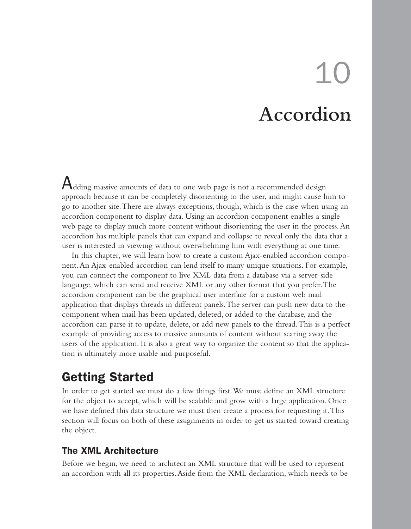# 10

# **Accordion**

 ${\mathbf A}$ dding massive amounts of data to one web page is not a recommended design approach because it can be completely disorienting to the user, and might cause him to go to another site.There are always exceptions, though, which is the case when using an accordion component to display data. Using an accordion component enables a single web page to display much more content without disorienting the user in the process.An accordion has multiple panels that can expand and collapse to reveal only the data that a user is interested in viewing without overwhelming him with everything at one time.

In this chapter, we will learn how to create a custom Ajax-enabled accordion component.An Ajax-enabled accordion can lend itself to many unique situations. For example, you can connect the component to live XML data from a database via a server-side language, which can send and receive XML or any other format that you prefer.The accordion component can be the graphical user interface for a custom web mail application that displays threads in different panels.The server can push new data to the component when mail has been updated, deleted, or added to the database, and the accordion can parse it to update, delete, or add new panels to the thread.This is a perfect example of providing access to massive amounts of content without scaring away the users of the application. It is also a great way to organize the content so that the application is ultimately more usable and purposeful.

# Getting Started

In order to get started we must do a few things first.We must define an XML structure for the object to accept, which will be scalable and grow with a large application. Once we have defined this data structure we must then create a process for requesting it.This section will focus on both of these assignments in order to get us started toward creating the object.

#### The XML Architecture

Before we begin, we need to architect an XML structure that will be used to represent an accordion with all its properties.Aside from the XML declaration, which needs to be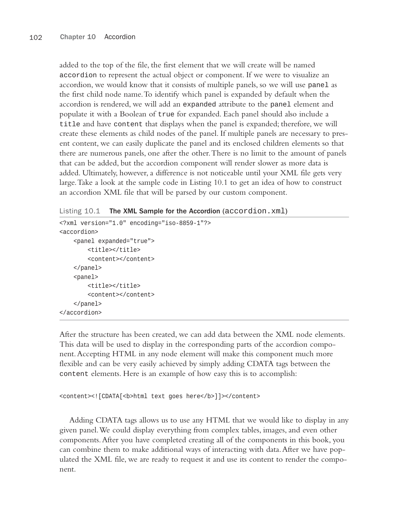added to the top of the file, the first element that we will create will be named accordion to represent the actual object or component. If we were to visualize an accordion, we would know that it consists of multiple panels, so we will use panel as the first child node name.To identify which panel is expanded by default when the accordion is rendered, we will add an expanded attribute to the panel element and populate it with a Boolean of true for expanded. Each panel should also include a title and have content that displays when the panel is expanded; therefore, we will create these elements as child nodes of the panel. If multiple panels are necessary to present content, we can easily duplicate the panel and its enclosed children elements so that there are numerous panels, one after the other.There is no limit to the amount of panels that can be added, but the accordion component will render slower as more data is added. Ultimately, however, a difference is not noticeable until your XML file gets very large.Take a look at the sample code in Listing 10.1 to get an idea of how to construct an accordion XML file that will be parsed by our custom component.

Listing 10.1 The XML Sample for the Accordion (accordion.xml)

```
<?xml version="1.0" encoding="iso-8859-1"?>
<accordion>
    <panel expanded="true">
        <title></title>
        <content></content>
    </panel>
    <panel>
        <title></title>
        <content></content>
    </panel>
</accordion>
```
After the structure has been created, we can add data between the XML node elements. This data will be used to display in the corresponding parts of the accordion component.Accepting HTML in any node element will make this component much more flexible and can be very easily achieved by simply adding CDATA tags between the content elements. Here is an example of how easy this is to accomplish:

```
<content><![CDATA[<br/> <br/>the text goes here</b>]]></content>
```
Adding CDATA tags allows us to use any HTML that we would like to display in any given panel.We could display everything from complex tables, images, and even other components.After you have completed creating all of the components in this book, you can combine them to make additional ways of interacting with data.After we have populated the XML file, we are ready to request it and use its content to render the component.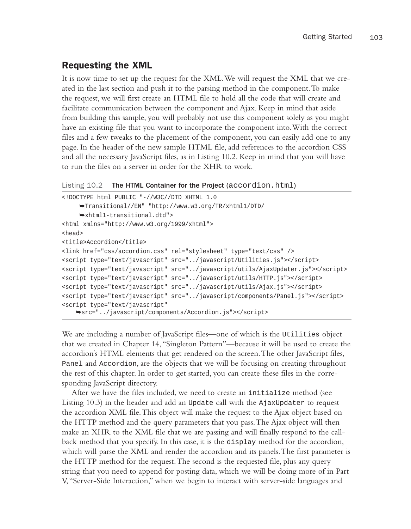#### Requesting the XML

It is now time to set up the request for the XML.We will request the XML that we created in the last section and push it to the parsing method in the component.To make the request, we will first create an HTML file to hold all the code that will create and facilitate communication between the component and Ajax. Keep in mind that aside from building this sample, you will probably not use this component solely as you might have an existing file that you want to incorporate the component into.With the correct files and a few tweaks to the placement of the component, you can easily add one to any page. In the header of the new sample HTML file, add references to the accordion CSS and all the necessary JavaScript files, as in Listing 10.2. Keep in mind that you will have to run the files on a server in order for the XHR to work.

Listing 10.2 The HTML Container for the Project (accordion.html)

```
<!DOCTYPE html PUBLIC "-//W3C//DTD XHTML 1.0 
    ➥Transitional//EN" "http://www.w3.org/TR/xhtml1/DTD/
    ➥xhtml1-transitional.dtd">
<html xmlns="http://www.w3.org/1999/xhtml">
<head>
<title>Accordion</title>
<link href="css/accordion.css" rel="stylesheet" type="text/css" />
<script type="text/javascript" src="../javascript/Utilities.js"></script>
<script type="text/javascript" src="../javascript/utils/AjaxUpdater.js"></script>
<script type="text/javascript" src="../javascript/utils/HTTP.js"></script>
<script type="text/javascript" src="../javascript/utils/Ajax.js"></script>
<script type="text/javascript" src="../javascript/components/Panel.js"></script>
<script type="text/javascript" 
   ➥src="../javascript/components/Accordion.js"></script>
```
We are including a number of JavaScript files—one of which is the Utilities object that we created in Chapter 14,"Singleton Pattern"—because it will be used to create the accordion's HTML elements that get rendered on the screen.The other JavaScript files, Panel and Accordion, are the objects that we will be focusing on creating throughout the rest of this chapter. In order to get started, you can create these files in the corresponding JavaScript directory.

After we have the files included, we need to create an initialize method (see Listing 10.3) in the header and add an Update call with the AjaxUpdater to request the accordion XML file.This object will make the request to the Ajax object based on the HTTP method and the query parameters that you pass.The Ajax object will then make an XHR to the XML file that we are passing and will finally respond to the callback method that you specify. In this case, it is the display method for the accordion, which will parse the XML and render the accordion and its panels.The first parameter is the HTTP method for the request.The second is the requested file, plus any query string that you need to append for posting data, which we will be doing more of in Part V,"Server-Side Interaction," when we begin to interact with server-side languages and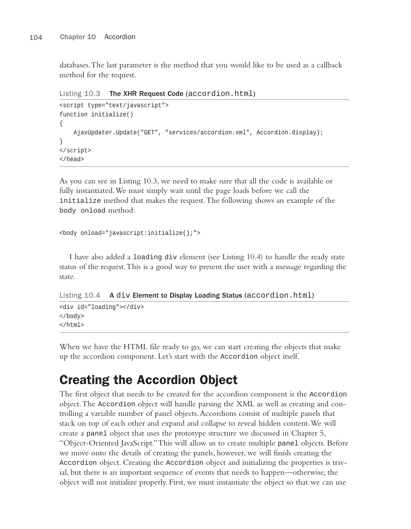databases.The last parameter is the method that you would like to be used as a callback method for the request.

Listing 10.3 The XHR Request Code (accordion.html)

```
<script type="text/javascript">
function initialize()
{
   AjaxUpdater.Update("GET", "services/accordion.xml", Accordion.display);
}
</script>
</head>
```
As you can see in Listing 10.3, we need to make sure that all the code is available or fully instantiated.We must simply wait until the page loads before we call the initialize method that makes the request.The following shows an example of the body onload method:

```
<body onload="javascript:initialize();">
```
I have also added a loading div element (see Listing 10.4) to handle the ready state status of the request.This is a good way to present the user with a message regarding the state.

Listing 10.4 A div Element to Display Loading Status (accordion.html)

```
<div id="loading"></div>
</body>
</html>
```
When we have the HTML file ready to go, we can start creating the objects that make up the accordion component. Let's start with the Accordion object itself.

### Creating the Accordion Object

The first object that needs to be created for the accordion component is the Accordion object.The Accordion object will handle parsing the XML as well as creating and controlling a variable number of panel objects.Accordions consist of multiple panels that stack on top of each other and expand and collapse to reveal hidden content.We will create a panel object that uses the prototype structure we discussed in Chapter 5, "Object-Oriented JavaScript."This will allow us to create multiple panel objects. Before we move onto the details of creating the panels, however, we will finish creating the Accordion object. Creating the Accordion object and initializing the properties is trivial, but there is an important sequence of events that needs to happen—otherwise, the object will not initialize properly. First, we must instantiate the object so that we can use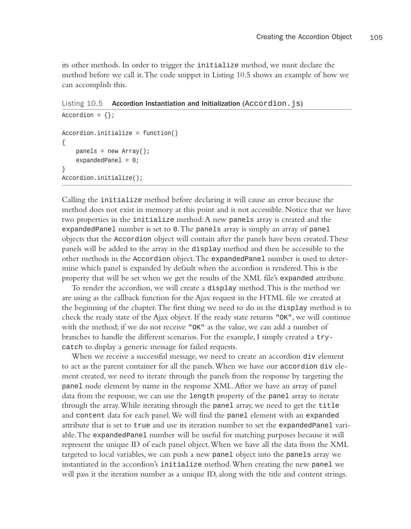its other methods. In order to trigger the initialize method, we must declare the method before we call it.The code snippet in Listing 10.5 shows an example of how we can accomplish this.

Listing 10.5 Accordion Instantiation and Initialization (Accordion.js)

```
Accordion = \{\}\Accordion.initialize = function()
{
    panels = new Array();
    expandedPanel = 0;
}
Accordion.initialize();
```
Calling the initialize method before declaring it will cause an error because the method does not exist in memory at this point and is not accessible. Notice that we have two properties in the initialize method:A new panels array is created and the expandedPanel number is set to 0.The panels array is simply an array of panel objects that the Accordion object will contain after the panels have been created.These panels will be added to the array in the display method and then be accessible to the other methods in the Accordion object.The expandedPanel number is used to determine which panel is expanded by default when the accordion is rendered.This is the property that will be set when we get the results of the XML file's expanded attribute.

To render the accordion, we will create a display method.This is the method we are using as the callback function for the Ajax request in the HTML file we created at the beginning of the chapter.The first thing we need to do in the display method is to check the ready state of the Ajax object. If the ready state returns "OK", we will continue with the method; if we do not receive "OK" as the value, we can add a number of branches to handle the different scenarios. For the example, I simply created a trycatch to display a generic message for failed requests.

When we receive a successful message, we need to create an accordion div element to act as the parent container for all the panels.When we have our accordion div element created, we need to iterate through the panels from the response by targeting the panel node element by name in the response XML.After we have an array of panel data from the response, we can use the length property of the panel array to iterate through the array.While iterating through the panel array, we need to get the title and content data for each panel.We will find the panel element with an expanded attribute that is set to true and use its iteration number to set the expandedPanel variable.The expandedPanel number will be useful for matching purposes because it will represent the unique ID of each panel object.When we have all the data from the XML targeted to local variables, we can push a new panel object into the panels array we instantiated in the accordion's initialize method.When creating the new panel we will pass it the iteration number as a unique ID, along with the title and content strings.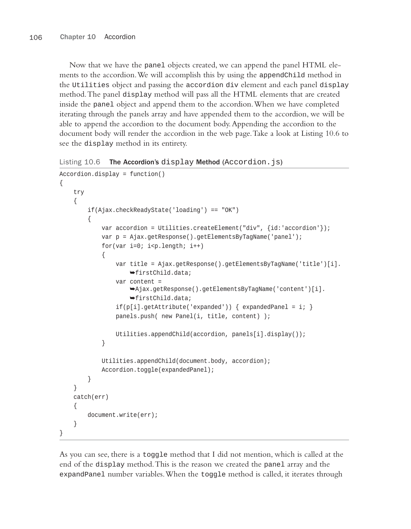Now that we have the panel objects created, we can append the panel HTML elements to the accordion.We will accomplish this by using the appendChild method in the Utilities object and passing the accordion div element and each panel display method.The panel display method will pass all the HTML elements that are created inside the panel object and append them to the accordion.When we have completed iterating through the panels array and have appended them to the accordion, we will be able to append the accordion to the document body.Appending the accordion to the document body will render the accordion in the web page.Take a look at Listing 10.6 to see the display method in its entirety.

Listing 10.6 The Accordion's display Method (Accordion.js)

```
Accordion.display = function()
{
    try
    {
        if(Ajax.checkReadyState('loading') == "OK")
        {
            var accordion = Utilities.createElement("div", {id:'accordion'});
            var p = Ajax.getResponse().getElementsByTagName('panel');
            for(var i=0; i < p.length; i++){
                var title = Ajax.getResponse().getElementsByTagName('title')[i].
                    ➥firstChild.data;
                var content = 
                    ➥Ajax.getResponse().getElementsByTagName('content')[i].
                    ➥firstChild.data;
                if(p[i].getAttribute('expanded')) { expanded Panel = i; }panels.push( new Panel(i, title, content) );
                Utilities.appendChild(accordion, panels[i].display());
            }
            Utilities.appendChild(document.body, accordion);
            Accordion.toggle(expandedPanel);
        }
    }
    catch(err)
    {
        document.write(err);
    }
}
```
As you can see, there is a toggle method that I did not mention, which is called at the end of the display method.This is the reason we created the panel array and the expandPanel number variables.When the toggle method is called, it iterates through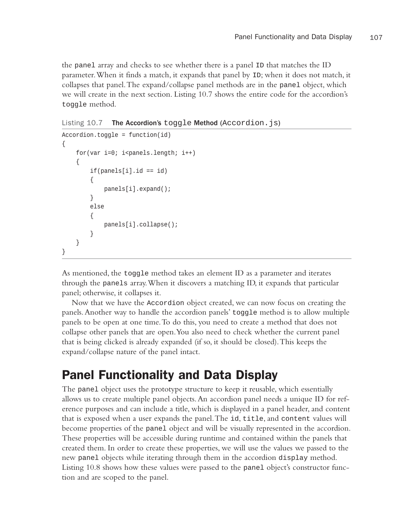the panel array and checks to see whether there is a panel ID that matches the ID parameter.When it finds a match, it expands that panel by ID; when it does not match, it collapses that panel.The expand/collapse panel methods are in the panel object, which we will create in the next section. Listing 10.7 shows the entire code for the accordion's toggle method.

Listing 10.7 The Accordion's toggle Method (Accordion.js)

```
Accordion.toggle = function(id)
{
    for(var i=0; i<sub>spanels.length</sub>; i++){
         if(panels[i].id == id){
             panels[i].expand();
         }
         else
         {
             panels[i].collapse();
         }
    }
}
```
As mentioned, the toggle method takes an element ID as a parameter and iterates through the panels array.When it discovers a matching ID, it expands that particular panel; otherwise, it collapses it.

Now that we have the Accordion object created, we can now focus on creating the panels.Another way to handle the accordion panels' toggle method is to allow multiple panels to be open at one time.To do this, you need to create a method that does not collapse other panels that are open.You also need to check whether the current panel that is being clicked is already expanded (if so, it should be closed).This keeps the expand/collapse nature of the panel intact.

## Panel Functionality and Data Display

The panel object uses the prototype structure to keep it reusable, which essentially allows us to create multiple panel objects.An accordion panel needs a unique ID for reference purposes and can include a title, which is displayed in a panel header, and content that is exposed when a user expands the panel.The id, title, and content values will become properties of the panel object and will be visually represented in the accordion. These properties will be accessible during runtime and contained within the panels that created them. In order to create these properties, we will use the values we passed to the new panel objects while iterating through them in the accordion display method. Listing 10.8 shows how these values were passed to the panel object's constructor function and are scoped to the panel.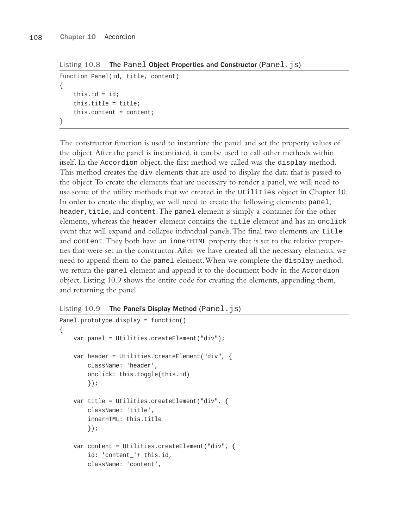```
Listing 10.8 The Panel Object Properties and Constructor (Panel.js)
function Panel(id, title, content)
{
   this.id = id;
    this.title = title;
    this.content = content;
}
```
The constructor function is used to instantiate the panel and set the property values of the object.After the panel is instantiated, it can be used to call other methods within itself. In the Accordion object, the first method we called was the display method. This method creates the div elements that are used to display the data that is passed to the object.To create the elements that are necessary to render a panel, we will need to use some of the utility methods that we created in the Utilities object in Chapter 10. In order to create the display, we will need to create the following elements: panel, header, title, and content.The panel element is simply a container for the other elements, whereas the header element contains the title element and has an onclick event that will expand and collapse individual panels.The final two elements are title and content.They both have an innerHTML property that is set to the relative properties that were set in the constructor.After we have created all the necessary elements, we need to append them to the panel element.When we complete the display method, we return the panel element and append it to the document body in the Accordion object. Listing 10.9 shows the entire code for creating the elements, appending them, and returning the panel.

Listing 10.9 The Panel's Display Method (Panel.js)

```
Panel.prototype.display = function()
{
   var panel = Utilities.createElement("div");
   var header = Utilities.createElement("div", {
       className: 'header',
        onclick: this.toggle(this.id)
        });
   var title = Utilities.createElement("div", {
        className: 'title',
        innerHTML: this.title
        });
   var content = Utilities.createElement("div", {
        id: 'content_'+ this.id,
        className: 'content',
```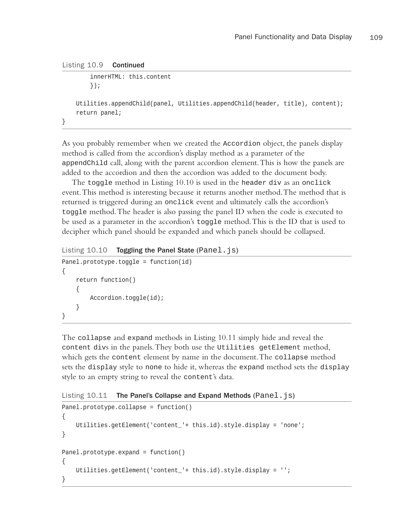Listing 10.9 Continued

}

```
innerHTML: this.content
    });
Utilities.appendChild(panel, Utilities.appendChild(header, title), content);
return panel;
```
As you probably remember when we created the Accordion object, the panels display method is called from the accordion's display method as a parameter of the appendChild call, along with the parent accordion element.This is how the panels are added to the accordion and then the accordion was added to the document body.

The toggle method in Listing 10.10 is used in the header div as an onclick event.This method is interesting because it returns another method.The method that is returned is triggered during an onclick event and ultimately calls the accordion's toggle method.The header is also passing the panel ID when the code is executed to be used as a parameter in the accordion's toggle method.This is the ID that is used to decipher which panel should be expanded and which panels should be collapsed.

Listing  $10.10$  Toggling the Panel State (Panel. js)

```
Panel.prototype.toggle = function(id)
{
    return function()
    {
        Accordion.toggle(id);
    }
}
```
The collapse and expand methods in Listing 10.11 simply hide and reveal the content divs in the panels.They both use the Utilities getElement method, which gets the content element by name in the document.The collapse method sets the display style to none to hide it, whereas the expand method sets the display style to an empty string to reveal the content's data.

Listing 10.11 The Panel's Collapse and Expand Methods (Panel.js)

```
Panel.prototype.collapse = function()
{
   Utilities.getElement('content_'+ this.id).style.display = 'none';
}
Panel.prototype.expand = function()
{
   Utilities.getElement('content_'+ this.id).style.display = '';
}
```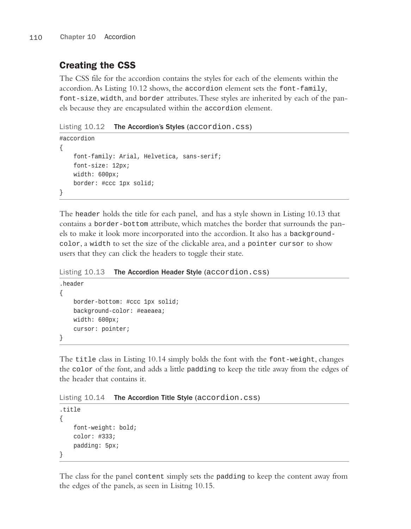#### Creating the CSS

The CSS file for the accordion contains the styles for each of the elements within the accordion.As Listing 10.12 shows, the accordion element sets the font-family, font-size, width, and border attributes.These styles are inherited by each of the panels because they are encapsulated within the accordion element.

Listing 10.12 The Accordion's Styles (accordion.css)

```
#accordion
{
    font-family: Arial, Helvetica, sans-serif;
    font-size: 12px;
    width: 600px;
    border: #ccc 1px solid;
}
```
The header holds the title for each panel, and has a style shown in Listing 10.13 that contains a border-bottom attribute, which matches the border that surrounds the panels to make it look more incorporated into the accordion. It also has a backgroundcolor, a width to set the size of the clickable area, and a pointer cursor to show users that they can click the headers to toggle their state.

Listing 10.13 The Accordion Header Style (accordion.css)

```
.header
{
   border-bottom: #ccc 1px solid;
   background-color: #eaeaea;
   width: 600px;
   cursor: pointer;
}
```
The title class in Listing 10.14 simply bolds the font with the font-weight, changes the color of the font, and adds a little padding to keep the title away from the edges of the header that contains it.

Listing 10.14 The Accordion Title Style (accordion.css)

```
.title
{
    font-weight: bold;
    color: #333;
    padding: 5px;
}
```
The class for the panel content simply sets the padding to keep the content away from the edges of the panels, as seen in Lisitng 10.15.